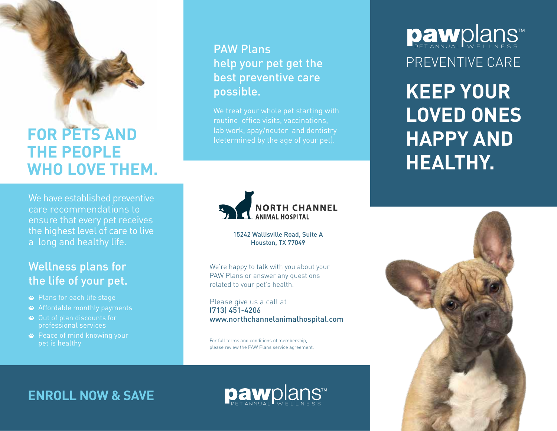## **FOR PETS AND THE PEOPLE WHO LOVE THEM.**

We have established preventive care recommendations to ensure that every pet receives the highest level of care to live a long and healthy life.

## Wellness plans for the life of your pet.

- Plans for each life stage
- Affordable monthly payments
- Out of plan discounts for professional services
- **<sup>■</sup>** Peace of mind knowing your pet is healthy

## PAW Plans help your pet get the best preventive care possible.

We treat your whole pet starting with routine office visits, vaccinations, lab work, spay/neuter and dentistry (determined by the age of your pet).



15242 Wallisville Road, Suite A Houston, TX 77049

We're happy to talk with you about your PAW Plans or answer any questions related to your pet's health.

Please give us a call at (713) 451-4206 www.northchannelanimalhospital.com

For full terms and conditions of membership, please review the PAW Plans service agreement. **Daw**plans™ PREVENTIVE CARE

**KEEP YOUR LOVED ONES HAPPY AND HEALTHY.**



## **ENROLL NOW & SAVE**